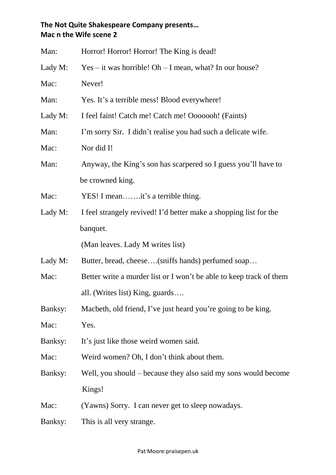## **The Not Quite Shakespeare Company presents… Mac n the Wife scene 2**

| Man:    | Horror! Horror! Horror! The King is dead!                           |
|---------|---------------------------------------------------------------------|
| Lady M: | $Yes - it was horrible! Oh - I mean, what? In our house?$           |
| Mac:    | Never!                                                              |
| Man:    | Yes. It's a terrible mess! Blood everywhere!                        |
| Lady M: | I feel faint! Catch me! Catch me! Ooooooh! (Faints)                 |
| Man:    | I'm sorry Sir. I didn't realise you had such a delicate wife.       |
| Mac:    | Nor did I!                                                          |
| Man:    | Anyway, the King's son has scarpered so I guess you'll have to      |
|         | be crowned king.                                                    |
| Mac:    | YES! I meanit's a terrible thing.                                   |
| Lady M: | I feel strangely revived! I'd better make a shopping list for the   |
|         | banquet.                                                            |
|         | (Man leaves. Lady M writes list)                                    |
| Lady M: | Butter, bread, cheese(sniffs hands) perfumed soap                   |
| Mac:    | Better write a murder list or I won't be able to keep track of them |
|         | all. (Writes list) King, guards                                     |
| Banksy: | Macbeth, old friend, I've just heard you're going to be king.       |
| Mac:    | Yes.                                                                |
| Banksy: | It's just like those weird women said.                              |
| Mac:    | Weird women? Oh, I don't think about them.                          |
| Banksy: | Well, you should – because they also said my sons would become      |
|         | Kings!                                                              |
| Mac:    | (Yawns) Sorry. I can never get to sleep nowadays.                   |
| Banksy: | This is all very strange.                                           |